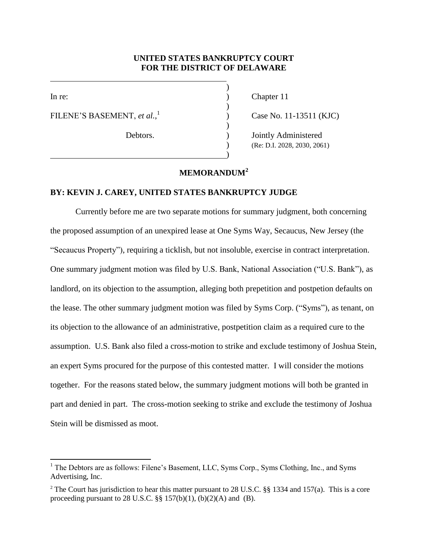## **UNITED STATES BANKRUPTCY COURT FOR THE DISTRICT OF DELAWARE**

)

)

)

)

l

FILENE'S BASEMENT, *et al.*, 1

In re: (a) Chapter 11

) Case No. 11-13511 (KJC)

Debtors. (a) Dointly Administered ) (Re: D.I. 2028, 2030, 2061)

## **MEMORANDUM<sup>2</sup>**

## **BY: KEVIN J. CAREY, UNITED STATES BANKRUPTCY JUDGE**

Currently before me are two separate motions for summary judgment, both concerning the proposed assumption of an unexpired lease at One Syms Way, Secaucus, New Jersey (the "Secaucus Property"), requiring a ticklish, but not insoluble, exercise in contract interpretation. One summary judgment motion was filed by U.S. Bank, National Association ("U.S. Bank"), as landlord, on its objection to the assumption, alleging both prepetition and postpetion defaults on the lease. The other summary judgment motion was filed by Syms Corp. ("Syms"), as tenant, on its objection to the allowance of an administrative, postpetition claim as a required cure to the assumption. U.S. Bank also filed a cross-motion to strike and exclude testimony of Joshua Stein, an expert Syms procured for the purpose of this contested matter. I will consider the motions together. For the reasons stated below, the summary judgment motions will both be granted in part and denied in part. The cross-motion seeking to strike and exclude the testimony of Joshua Stein will be dismissed as moot.

<sup>&</sup>lt;sup>1</sup> The Debtors are as follows: Filene's Basement, LLC, Syms Corp., Syms Clothing, Inc., and Syms Advertising, Inc.

<sup>&</sup>lt;sup>2</sup> The Court has jurisdiction to hear this matter pursuant to 28 U.S.C. §§ 1334 and 157(a). This is a core proceeding pursuant to 28 U.S.C.  $\S\S 157(b)(1)$ ,  $(b)(2)(A)$  and  $(B)$ .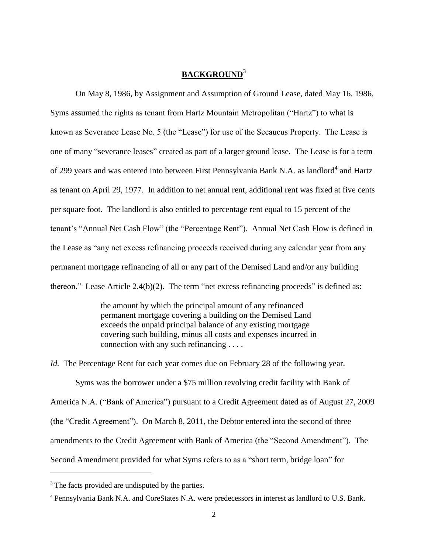## **BACKGROUND**<sup>3</sup>

On May 8, 1986, by Assignment and Assumption of Ground Lease, dated May 16, 1986, Syms assumed the rights as tenant from Hartz Mountain Metropolitan ("Hartz") to what is known as Severance Lease No. 5 (the "Lease") for use of the Secaucus Property. The Lease is one of many "severance leases" created as part of a larger ground lease. The Lease is for a term of 299 years and was entered into between First Pennsylvania Bank N.A. as landlord<sup>4</sup> and Hartz as tenant on April 29, 1977. In addition to net annual rent, additional rent was fixed at five cents per square foot. The landlord is also entitled to percentage rent equal to 15 percent of the tenant's "Annual Net Cash Flow" (the "Percentage Rent"). Annual Net Cash Flow is defined in the Lease as "any net excess refinancing proceeds received during any calendar year from any permanent mortgage refinancing of all or any part of the Demised Land and/or any building thereon." Lease Article 2.4(b)(2). The term "net excess refinancing proceeds" is defined as:

> the amount by which the principal amount of any refinanced permanent mortgage covering a building on the Demised Land exceeds the unpaid principal balance of any existing mortgage covering such building, minus all costs and expenses incurred in connection with any such refinancing . . . .

*Id.* The Percentage Rent for each year comes due on February 28 of the following year.

Syms was the borrower under a \$75 million revolving credit facility with Bank of America N.A. ("Bank of America") pursuant to a Credit Agreement dated as of August 27, 2009 (the "Credit Agreement"). On March 8, 2011, the Debtor entered into the second of three amendments to the Credit Agreement with Bank of America (the "Second Amendment"). The Second Amendment provided for what Syms refers to as a "short term, bridge loan" for

<sup>&</sup>lt;sup>3</sup> The facts provided are undisputed by the parties.

<sup>4</sup> Pennsylvania Bank N.A. and CoreStates N.A. were predecessors in interest as landlord to U.S. Bank.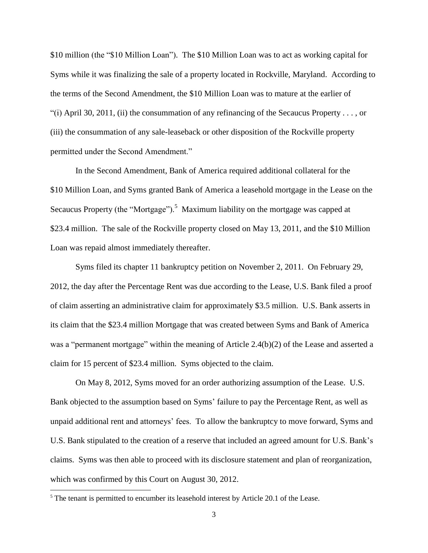\$10 million (the "\$10 Million Loan"). The \$10 Million Loan was to act as working capital for Syms while it was finalizing the sale of a property located in Rockville, Maryland. According to the terms of the Second Amendment, the \$10 Million Loan was to mature at the earlier of "(i) April 30, 2011, (ii) the consummation of any refinancing of the Secaucus Property . . . , or (iii) the consummation of any sale-leaseback or other disposition of the Rockville property permitted under the Second Amendment."

In the Second Amendment, Bank of America required additional collateral for the \$10 Million Loan, and Syms granted Bank of America a leasehold mortgage in the Lease on the Secaucus Property (the "Mortgage").<sup>5</sup> Maximum liability on the mortgage was capped at \$23.4 million. The sale of the Rockville property closed on May 13, 2011, and the \$10 Million Loan was repaid almost immediately thereafter.

Syms filed its chapter 11 bankruptcy petition on November 2, 2011. On February 29, 2012, the day after the Percentage Rent was due according to the Lease, U.S. Bank filed a proof of claim asserting an administrative claim for approximately \$3.5 million. U.S. Bank asserts in its claim that the \$23.4 million Mortgage that was created between Syms and Bank of America was a "permanent mortgage" within the meaning of Article 2.4(b)(2) of the Lease and asserted a claim for 15 percent of \$23.4 million. Syms objected to the claim.

On May 8, 2012, Syms moved for an order authorizing assumption of the Lease. U.S. Bank objected to the assumption based on Syms' failure to pay the Percentage Rent, as well as unpaid additional rent and attorneys' fees. To allow the bankruptcy to move forward, Syms and U.S. Bank stipulated to the creation of a reserve that included an agreed amount for U.S. Bank's claims. Syms was then able to proceed with its disclosure statement and plan of reorganization, which was confirmed by this Court on August 30, 2012.

<sup>&</sup>lt;sup>5</sup> The tenant is permitted to encumber its leasehold interest by Article 20.1 of the Lease.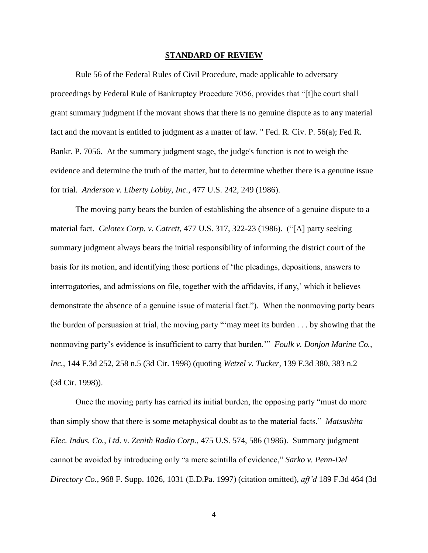#### **STANDARD OF REVIEW**

Rule 56 of the Federal Rules of Civil Procedure, made applicable to adversary proceedings by Federal Rule of Bankruptcy Procedure 7056, provides that "[t]he court shall grant summary judgment if the movant shows that there is no genuine dispute as to any material fact and the movant is entitled to judgment as a matter of law. " Fed. R. Civ. P. 56(a); Fed R. Bankr. P. 7056. At the summary judgment stage, the judge's function is not to weigh the evidence and determine the truth of the matter, but to determine whether there is a genuine issue for trial. *Anderson v. Liberty Lobby, Inc.*, 477 U.S. 242, 249 (1986).

The moving party bears the burden of establishing the absence of a genuine dispute to a material fact. *Celotex Corp. v. Catrett*, 477 U.S. 317, 322-23 (1986). ("[A] party seeking summary judgment always bears the initial responsibility of informing the district court of the basis for its motion, and identifying those portions of 'the pleadings, depositions, answers to interrogatories, and admissions on file, together with the affidavits, if any,' which it believes demonstrate the absence of a genuine issue of material fact."). When the nonmoving party bears the burden of persuasion at trial, the moving party "'may meet its burden . . . by showing that the nonmoving party's evidence is insufficient to carry that burden.'" *Foulk v. Donjon Marine Co., Inc.,* 144 F.3d 252, 258 n.5 (3d Cir. 1998) (quoting *Wetzel v. Tucker,* 139 F.3d 380, 383 n.2 (3d Cir. 1998)).

Once the moving party has carried its initial burden, the opposing party "must do more than simply show that there is some metaphysical doubt as to the material facts." *Matsushita Elec. Indus. Co., Ltd. v. Zenith Radio Corp.*, 475 U.S. 574, 586 (1986). Summary judgment cannot be avoided by introducing only "a mere scintilla of evidence," *Sarko v. Penn-Del Directory Co.,* 968 F. Supp. 1026, 1031 (E.D.Pa. 1997) (citation omitted), *aff'd* 189 F.3d 464 (3d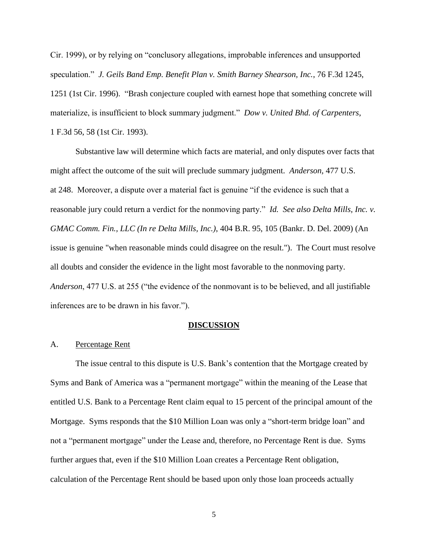Cir. 1999), or by relying on "conclusory allegations, improbable inferences and unsupported speculation." *J. Geils Band Emp. Benefit Plan v. Smith Barney Shearson, Inc.*, 76 F.3d 1245, 1251 (1st Cir. 1996). "Brash conjecture coupled with earnest hope that something concrete will materialize, is insufficient to block summary judgment." *Dow v. United Bhd. of Carpenters*, 1 F.3d 56, 58 (1st Cir. 1993).

Substantive law will determine which facts are material, and only disputes over facts that might affect the outcome of the suit will preclude summary judgment. *Anderson,* 477 U.S. at 248. Moreover, a dispute over a material fact is genuine "if the evidence is such that a reasonable jury could return a verdict for the nonmoving party." *Id. See also Delta Mills, Inc. v. GMAC Comm. Fin., LLC (In re Delta Mills, Inc.)*, 404 B.R. 95, 105 (Bankr. D. Del. 2009) (An issue is genuine "when reasonable minds could disagree on the result."). The Court must resolve all doubts and consider the evidence in the light most favorable to the nonmoving party. *Anderson*, 477 U.S. at 255 ("the evidence of the nonmovant is to be believed, and all justifiable inferences are to be drawn in his favor.").

#### **DISCUSSION**

### A. Percentage Rent

The issue central to this dispute is U.S. Bank's contention that the Mortgage created by Syms and Bank of America was a "permanent mortgage" within the meaning of the Lease that entitled U.S. Bank to a Percentage Rent claim equal to 15 percent of the principal amount of the Mortgage. Syms responds that the \$10 Million Loan was only a "short-term bridge loan" and not a "permanent mortgage" under the Lease and, therefore, no Percentage Rent is due. Syms further argues that, even if the \$10 Million Loan creates a Percentage Rent obligation, calculation of the Percentage Rent should be based upon only those loan proceeds actually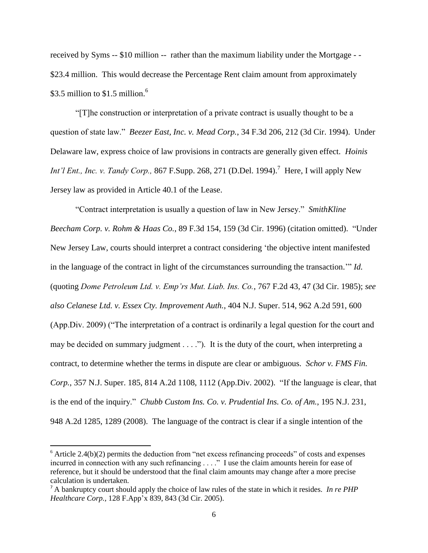received by Syms -- \$10 million -- rather than the maximum liability under the Mortgage - - \$23.4 million. This would decrease the Percentage Rent claim amount from approximately  $$3.5$  million to  $$1.5$  million.<sup>6</sup>

"[T]he construction or interpretation of a private contract is usually thought to be a question of state law." *Beezer East, Inc. v. Mead Corp.*, 34 F.3d 206, 212 (3d Cir. 1994). Under Delaware law, express choice of law provisions in contracts are generally given effect. *Hoinis Int'l Ent., Inc. v. Tandy Corp., 867 F.Supp. 268, 271 (D.Del. 1994).*<sup>7</sup> Here, *I will apply New* Jersey law as provided in Article 40.1 of the Lease.

"Contract interpretation is usually a question of law in New Jersey." *SmithKline Beecham Corp. v. Rohm & Haas Co.*, 89 F.3d 154, 159 (3d Cir. 1996) (citation omitted). "Under New Jersey Law, courts should interpret a contract considering 'the objective intent manifested in the language of the contract in light of the circumstances surrounding the transaction.'" *Id.* (quoting *Dome Petroleum Ltd. v. Emp'rs Mut. Liab. Ins. Co.*, 767 F.2d 43, 47 (3d Cir. 1985); *see also Celanese Ltd. v. Essex Cty. Improvement Auth.*, 404 N.J. Super. 514, 962 A.2d 591, 600 (App.Div. 2009) ("The interpretation of a contract is ordinarily a legal question for the court and may be decided on summary judgment . . . ."). It is the duty of the court, when interpreting a contract, to determine whether the terms in dispute are clear or ambiguous. *Schor v. FMS Fin. Corp.*, 357 N.J. Super. 185, 814 A.2d 1108, 1112 (App.Div. 2002). "If the language is clear, that is the end of the inquiry." *Chubb Custom Ins. Co. v. Prudential Ins. Co. of Am.*, 195 N.J. 231, 948 A.2d 1285, 1289 (2008). The language of the contract is clear if a single intention of the

 $\overline{a}$ 

 $6$  Article 2.4(b)(2) permits the deduction from "net excess refinancing proceeds" of costs and expenses incurred in connection with any such refinancing . . . ." I use the claim amounts herein for ease of reference, but it should be understood that the final claim amounts may change after a more precise calculation is undertaken.

<sup>7</sup> A bankruptcy court should apply the choice of law rules of the state in which it resides. *In re PHP Healthcare Corp.,* 128 F.App'x 839, 843 (3d Cir. 2005).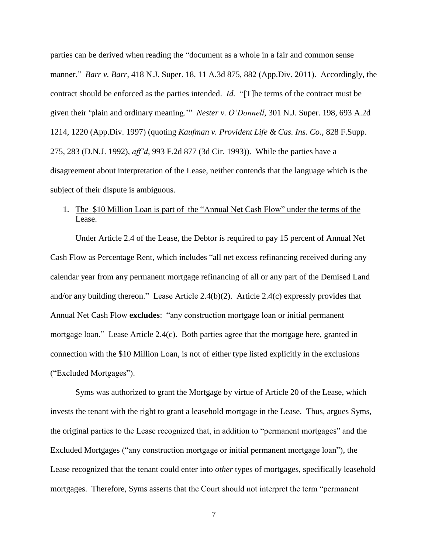parties can be derived when reading the "document as a whole in a fair and common sense manner." *Barr v. Barr*, 418 N.J. Super. 18, 11 A.3d 875, 882 (App.Div. 2011). Accordingly, the contract should be enforced as the parties intended. *Id.* "[T]he terms of the contract must be given their 'plain and ordinary meaning.'" *Nester v. O'Donnell*, 301 N.J. Super. 198, 693 A.2d 1214, 1220 (App.Div. 1997) (quoting *Kaufman v. Provident Life & Cas. Ins. Co.*, 828 F.Supp. 275, 283 (D.N.J. 1992), *aff'd*, 993 F.2d 877 (3d Cir. 1993)). While the parties have a disagreement about interpretation of the Lease, neither contends that the language which is the subject of their dispute is ambiguous.

# 1. The \$10 Million Loan is part of the "Annual Net Cash Flow" under the terms of the Lease.

Under Article 2.4 of the Lease, the Debtor is required to pay 15 percent of Annual Net Cash Flow as Percentage Rent, which includes "all net excess refinancing received during any calendar year from any permanent mortgage refinancing of all or any part of the Demised Land and/or any building thereon." Lease Article 2.4(b)(2). Article 2.4(c) expressly provides that Annual Net Cash Flow **excludes**: "any construction mortgage loan or initial permanent mortgage loan." Lease Article 2.4(c). Both parties agree that the mortgage here, granted in connection with the \$10 Million Loan, is not of either type listed explicitly in the exclusions ("Excluded Mortgages").

Syms was authorized to grant the Mortgage by virtue of Article 20 of the Lease, which invests the tenant with the right to grant a leasehold mortgage in the Lease. Thus, argues Syms, the original parties to the Lease recognized that, in addition to "permanent mortgages" and the Excluded Mortgages ("any construction mortgage or initial permanent mortgage loan"), the Lease recognized that the tenant could enter into *other* types of mortgages, specifically leasehold mortgages. Therefore, Syms asserts that the Court should not interpret the term "permanent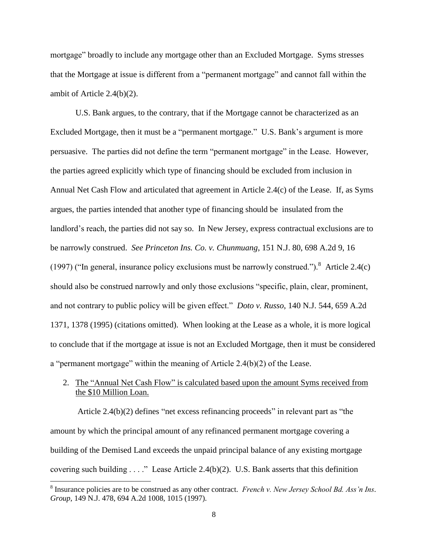mortgage" broadly to include any mortgage other than an Excluded Mortgage. Syms stresses that the Mortgage at issue is different from a "permanent mortgage" and cannot fall within the ambit of Article 2.4(b)(2).

U.S. Bank argues, to the contrary, that if the Mortgage cannot be characterized as an Excluded Mortgage, then it must be a "permanent mortgage." U.S. Bank's argument is more persuasive. The parties did not define the term "permanent mortgage" in the Lease. However, the parties agreed explicitly which type of financing should be excluded from inclusion in Annual Net Cash Flow and articulated that agreement in Article 2.4(c) of the Lease. If, as Syms argues, the parties intended that another type of financing should be insulated from the landlord's reach, the parties did not say so. In New Jersey, express contractual exclusions are to be narrowly construed. *See Princeton Ins. Co. v. Chunmuang*, 151 N.J. 80, 698 A.2d 9, 16 (1997) ("In general, insurance policy exclusions must be narrowly construed."). <sup>8</sup> Article 2.4(c) should also be construed narrowly and only those exclusions "specific, plain, clear, prominent, and not contrary to public policy will be given effect." *Doto v. Russo*, 140 N.J. 544, 659 A.2d 1371, 1378 (1995) (citations omitted). When looking at the Lease as a whole, it is more logical to conclude that if the mortgage at issue is not an Excluded Mortgage, then it must be considered a "permanent mortgage" within the meaning of Article 2.4(b)(2) of the Lease.

# 2. The "Annual Net Cash Flow" is calculated based upon the amount Syms received from the \$10 Million Loan.

Article 2.4(b)(2) defines "net excess refinancing proceeds" in relevant part as "the amount by which the principal amount of any refinanced permanent mortgage covering a building of the Demised Land exceeds the unpaid principal balance of any existing mortgage covering such building . . . ." Lease Article 2.4(b)(2). U.S. Bank asserts that this definition

<sup>&</sup>lt;sup>8</sup> Insurance policies are to be construed as any other contract. *French v. New Jersey School Bd. Ass'n Ins. Group*, 149 N.J. 478, 694 A.2d 1008, 1015 (1997).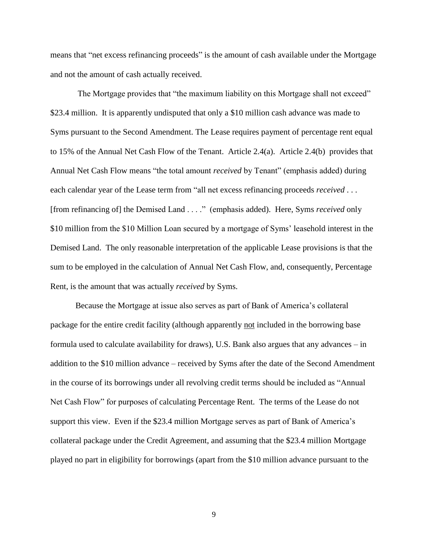means that "net excess refinancing proceeds" is the amount of cash available under the Mortgage and not the amount of cash actually received.

The Mortgage provides that "the maximum liability on this Mortgage shall not exceed" \$23.4 million. It is apparently undisputed that only a \$10 million cash advance was made to Syms pursuant to the Second Amendment. The Lease requires payment of percentage rent equal to 15% of the Annual Net Cash Flow of the Tenant. Article 2.4(a). Article 2.4(b) provides that Annual Net Cash Flow means "the total amount *received* by Tenant" (emphasis added) during each calendar year of the Lease term from "all net excess refinancing proceeds *received* . . . [from refinancing of] the Demised Land . . . ." (emphasis added). Here, Syms *received* only \$10 million from the \$10 Million Loan secured by a mortgage of Syms' leasehold interest in the Demised Land. The only reasonable interpretation of the applicable Lease provisions is that the sum to be employed in the calculation of Annual Net Cash Flow, and, consequently, Percentage Rent, is the amount that was actually *received* by Syms.

Because the Mortgage at issue also serves as part of Bank of America's collateral package for the entire credit facility (although apparently not included in the borrowing base formula used to calculate availability for draws), U.S. Bank also argues that any advances – in addition to the \$10 million advance – received by Syms after the date of the Second Amendment in the course of its borrowings under all revolving credit terms should be included as "Annual Net Cash Flow" for purposes of calculating Percentage Rent. The terms of the Lease do not support this view. Even if the \$23.4 million Mortgage serves as part of Bank of America's collateral package under the Credit Agreement, and assuming that the \$23.4 million Mortgage played no part in eligibility for borrowings (apart from the \$10 million advance pursuant to the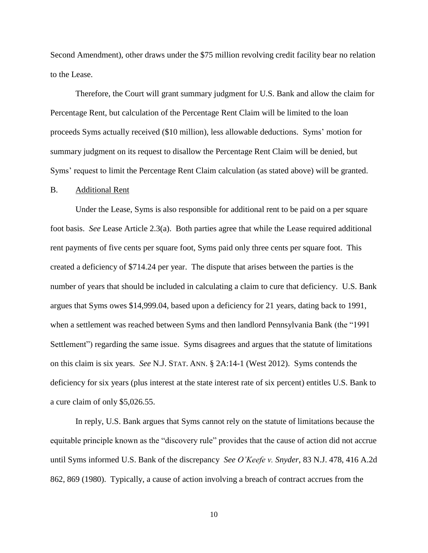Second Amendment), other draws under the \$75 million revolving credit facility bear no relation to the Lease.

Therefore, the Court will grant summary judgment for U.S. Bank and allow the claim for Percentage Rent, but calculation of the Percentage Rent Claim will be limited to the loan proceeds Syms actually received (\$10 million), less allowable deductions. Syms' motion for summary judgment on its request to disallow the Percentage Rent Claim will be denied, but Syms' request to limit the Percentage Rent Claim calculation (as stated above) will be granted.

### B. Additional Rent

Under the Lease, Syms is also responsible for additional rent to be paid on a per square foot basis. *See* Lease Article 2.3(a). Both parties agree that while the Lease required additional rent payments of five cents per square foot, Syms paid only three cents per square foot. This created a deficiency of \$714.24 per year. The dispute that arises between the parties is the number of years that should be included in calculating a claim to cure that deficiency. U.S. Bank argues that Syms owes \$14,999.04, based upon a deficiency for 21 years, dating back to 1991, when a settlement was reached between Syms and then landlord Pennsylvania Bank (the "1991 Settlement") regarding the same issue. Syms disagrees and argues that the statute of limitations on this claim is six years. *See* N.J. STAT. ANN. § 2A:14-1 (West 2012). Syms contends the deficiency for six years (plus interest at the state interest rate of six percent) entitles U.S. Bank to a cure claim of only \$5,026.55.

In reply, U.S. Bank argues that Syms cannot rely on the statute of limitations because the equitable principle known as the "discovery rule" provides that the cause of action did not accrue until Syms informed U.S. Bank of the discrepancy *See O'Keefe v. Snyder*, 83 N.J. 478, 416 A.2d 862, 869 (1980). Typically, a cause of action involving a breach of contract accrues from the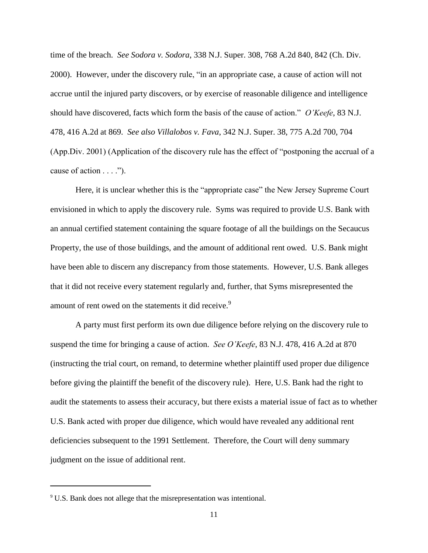time of the breach. *See Sodora v. Sodora*, 338 N.J. Super. 308, 768 A.2d 840, 842 (Ch. Div. 2000). However, under the discovery rule, "in an appropriate case, a cause of action will not accrue until the injured party discovers, or by exercise of reasonable diligence and intelligence should have discovered, facts which form the basis of the cause of action." *O'Keefe*, 83 N.J. 478, 416 A.2d at 869. *See also Villalobos v. Fava*, 342 N.J. Super. 38, 775 A.2d 700, 704 (App.Div. 2001) (Application of the discovery rule has the effect of "postponing the accrual of a cause of action  $\dots$ .").

Here, it is unclear whether this is the "appropriate case" the New Jersey Supreme Court envisioned in which to apply the discovery rule. Syms was required to provide U.S. Bank with an annual certified statement containing the square footage of all the buildings on the Secaucus Property, the use of those buildings, and the amount of additional rent owed. U.S. Bank might have been able to discern any discrepancy from those statements. However, U.S. Bank alleges that it did not receive every statement regularly and, further, that Syms misrepresented the amount of rent owed on the statements it did receive.<sup>9</sup>

A party must first perform its own due diligence before relying on the discovery rule to suspend the time for bringing a cause of action. *See O'Keefe*, 83 N.J. 478, 416 A.2d at 870 (instructing the trial court, on remand, to determine whether plaintiff used proper due diligence before giving the plaintiff the benefit of the discovery rule). Here, U.S. Bank had the right to audit the statements to assess their accuracy, but there exists a material issue of fact as to whether U.S. Bank acted with proper due diligence, which would have revealed any additional rent deficiencies subsequent to the 1991 Settlement. Therefore, the Court will deny summary judgment on the issue of additional rent.

<sup>&</sup>lt;sup>9</sup> U.S. Bank does not allege that the misrepresentation was intentional.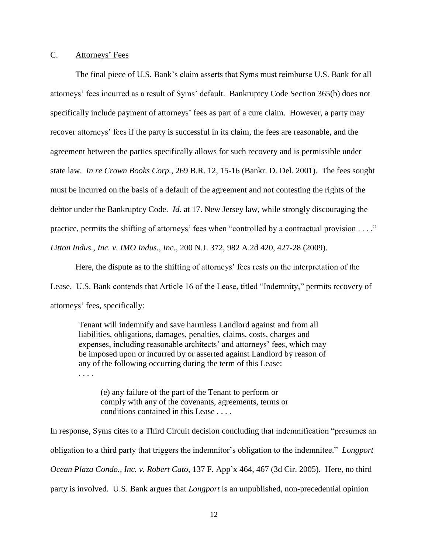## C. Attorneys' Fees

The final piece of U.S. Bank's claim asserts that Syms must reimburse U.S. Bank for all attorneys' fees incurred as a result of Syms' default. Bankruptcy Code Section 365(b) does not specifically include payment of attorneys' fees as part of a cure claim. However, a party may recover attorneys' fees if the party is successful in its claim, the fees are reasonable, and the agreement between the parties specifically allows for such recovery and is permissible under state law. *In re Crown Books Corp.*, 269 B.R. 12, 15-16 (Bankr. D. Del. 2001). The fees sought must be incurred on the basis of a default of the agreement and not contesting the rights of the debtor under the Bankruptcy Code. *Id.* at 17. New Jersey law, while strongly discouraging the practice, permits the shifting of attorneys' fees when "controlled by a contractual provision . . . ." *Litton Indus., Inc. v. IMO Indus., Inc.*, 200 N.J. 372, 982 A.2d 420, 427-28 (2009).

Here, the dispute as to the shifting of attorneys' fees rests on the interpretation of the Lease. U.S. Bank contends that Article 16 of the Lease, titled "Indemnity," permits recovery of attorneys' fees, specifically:

Tenant will indemnify and save harmless Landlord against and from all liabilities, obligations, damages, penalties, claims, costs, charges and expenses, including reasonable architects' and attorneys' fees, which may be imposed upon or incurred by or asserted against Landlord by reason of any of the following occurring during the term of this Lease:

. . . .

(e) any failure of the part of the Tenant to perform or comply with any of the covenants, agreements, terms or conditions contained in this Lease . . . .

In response, Syms cites to a Third Circuit decision concluding that indemnification "presumes an obligation to a third party that triggers the indemnitor's obligation to the indemnitee." *Longport Ocean Plaza Condo., Inc. v. Robert Cato*, 137 F. App'x 464, 467 (3d Cir. 2005). Here, no third party is involved. U.S. Bank argues that *Longport* is an unpublished, non-precedential opinion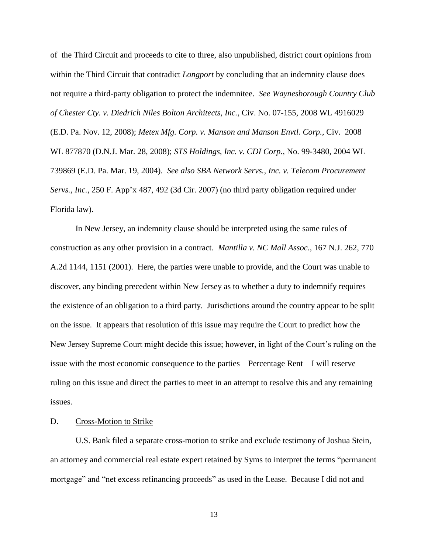of the Third Circuit and proceeds to cite to three, also unpublished, district court opinions from within the Third Circuit that contradict *Longport* by concluding that an indemnity clause does not require a third-party obligation to protect the indemnitee. *See Waynesborough Country Club of Chester Cty. v. Diedrich Niles Bolton Architects, Inc.*, Civ. No. 07-155, 2008 WL 4916029 (E.D. Pa. Nov. 12, 2008); *Metex Mfg. Corp. v. Manson and Manson Envtl. Corp.*, Civ. 2008 WL 877870 (D.N.J. Mar. 28, 2008); *STS Holdings, Inc. v. CDI Corp.*, No. 99-3480, 2004 WL 739869 (E.D. Pa. Mar. 19, 2004). *See also SBA Network Servs., Inc. v. Telecom Procurement Servs., Inc.*, 250 F. App'x 487, 492 (3d Cir. 2007) (no third party obligation required under Florida law).

In New Jersey, an indemnity clause should be interpreted using the same rules of construction as any other provision in a contract. *Mantilla v. NC Mall Assoc.*, 167 N.J. 262, 770 A.2d 1144, 1151 (2001). Here, the parties were unable to provide, and the Court was unable to discover, any binding precedent within New Jersey as to whether a duty to indemnify requires the existence of an obligation to a third party. Jurisdictions around the country appear to be split on the issue. It appears that resolution of this issue may require the Court to predict how the New Jersey Supreme Court might decide this issue; however, in light of the Court's ruling on the issue with the most economic consequence to the parties – Percentage Rent – I will reserve ruling on this issue and direct the parties to meet in an attempt to resolve this and any remaining issues.

### D. Cross-Motion to Strike

U.S. Bank filed a separate cross-motion to strike and exclude testimony of Joshua Stein, an attorney and commercial real estate expert retained by Syms to interpret the terms "permanent mortgage" and "net excess refinancing proceeds" as used in the Lease. Because I did not and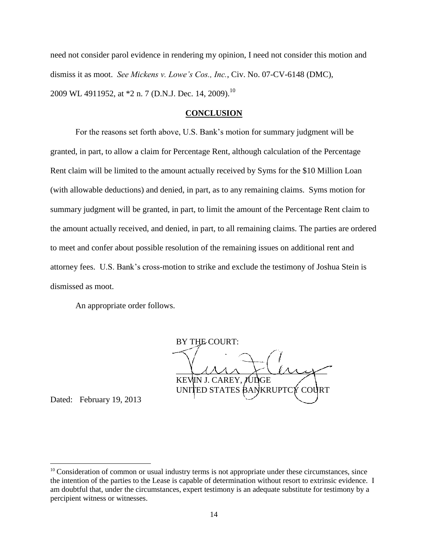need not consider parol evidence in rendering my opinion, I need not consider this motion and dismiss it as moot. *See Mickens v. Lowe's Cos., Inc.*, Civ. No. 07-CV-6148 (DMC), 2009 WL 4911952, at \*2 n. 7 (D.N.J. Dec. 14, 2009).<sup>10</sup>

### **CONCLUSION**

For the reasons set forth above, U.S. Bank's motion for summary judgment will be granted, in part, to allow a claim for Percentage Rent, although calculation of the Percentage Rent claim will be limited to the amount actually received by Syms for the \$10 Million Loan (with allowable deductions) and denied, in part, as to any remaining claims. Syms motion for summary judgment will be granted, in part, to limit the amount of the Percentage Rent claim to the amount actually received, and denied, in part, to all remaining claims. The parties are ordered to meet and confer about possible resolution of the remaining issues on additional rent and attorney fees. U.S. Bank's cross-motion to strike and exclude the testimony of Joshua Stein is dismissed as moot.

An appropriate order follows.

BY THE COURT:  $\cup$ Mr Klhy KEVIN J. CAREY, JUDGE UNITED STATES BANKRUPTCY COURT

Dated: February 19, 2013

l

 $10$  Consideration of common or usual industry terms is not appropriate under these circumstances, since the intention of the parties to the Lease is capable of determination without resort to extrinsic evidence. I am doubtful that, under the circumstances, expert testimony is an adequate substitute for testimony by a percipient witness or witnesses.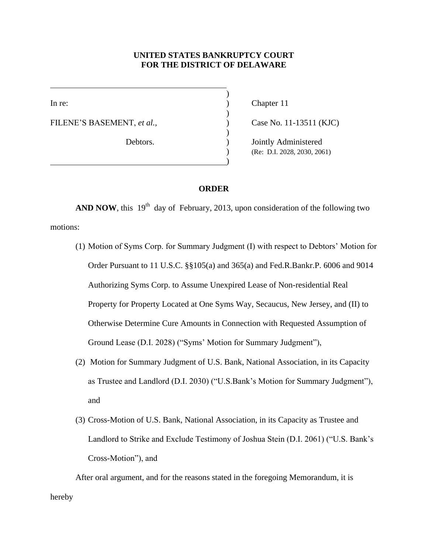## **UNITED STATES BANKRUPTCY COURT FOR THE DISTRICT OF DELAWARE**

)

)

)

)

FILENE'S BASEMENT, *et al.*,  $\qquad \qquad$  (ase No. 11-13511 (KJC)

In re: (a) Chapter 11

Debtors. (a) Dointly Administered ) (Re: D.I. 2028, 2030, 2061)

## **ORDER**

**AND NOW**, this  $19<sup>th</sup>$  day of February, 2013, upon consideration of the following two motions:

- (1) Motion of Syms Corp. for Summary Judgment (I) with respect to Debtors' Motion for Order Pursuant to 11 U.S.C. §§105(a) and 365(a) and Fed.R.Bankr.P. 6006 and 9014 Authorizing Syms Corp. to Assume Unexpired Lease of Non-residential Real Property for Property Located at One Syms Way, Secaucus, New Jersey, and (II) to Otherwise Determine Cure Amounts in Connection with Requested Assumption of Ground Lease (D.I. 2028) ("Syms' Motion for Summary Judgment"),
- (2) Motion for Summary Judgment of U.S. Bank, National Association, in its Capacity as Trustee and Landlord (D.I. 2030) ("U.S.Bank's Motion for Summary Judgment"), and
- (3) Cross-Motion of U.S. Bank, National Association, in its Capacity as Trustee and Landlord to Strike and Exclude Testimony of Joshua Stein (D.I. 2061) ("U.S. Bank's Cross-Motion"), and

After oral argument, and for the reasons stated in the foregoing Memorandum, it is hereby